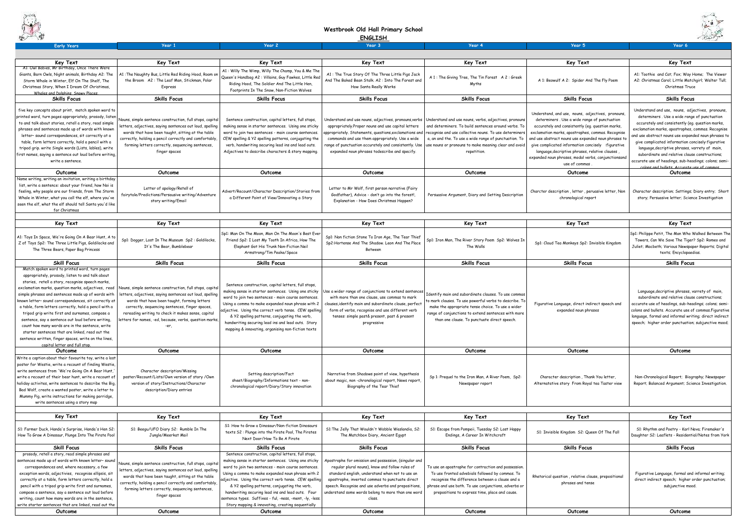| <b>ANDROID</b>                                                                                                    |                                                                                                                     |                                                                                                            | <b>ENGLISH</b>                                                                                          |                                                                                                                |                                                                                                            |                                                                             |
|-------------------------------------------------------------------------------------------------------------------|---------------------------------------------------------------------------------------------------------------------|------------------------------------------------------------------------------------------------------------|---------------------------------------------------------------------------------------------------------|----------------------------------------------------------------------------------------------------------------|------------------------------------------------------------------------------------------------------------|-----------------------------------------------------------------------------|
| <b>Early Years</b>                                                                                                | Year 1                                                                                                              | Year 2                                                                                                     | Year 3                                                                                                  | Year 4                                                                                                         | Year 5                                                                                                     | Year 6                                                                      |
|                                                                                                                   |                                                                                                                     |                                                                                                            |                                                                                                         |                                                                                                                |                                                                                                            |                                                                             |
| Key Text<br>A1: Owl Babies, Mr Birthday, Once There Were                                                          | Key Text                                                                                                            | Key Text                                                                                                   | Key Text                                                                                                | Key Text                                                                                                       | <b>Key Text</b>                                                                                            | Key Text                                                                    |
| Giants, Barn Owls, Night animals, Birthday A2: The                                                                | 11: The Naughty Bus, Little Red Riding Hood, Room on                                                                | A1: Willy The Wimp, Willy The Champ, You & Me The<br>Queen's Handbag A2: Villains, Guy Fawkes, Little Red  | A1: The True Story Of The Three Little Pigs Jack                                                        |                                                                                                                |                                                                                                            | A1: Toothie and Cat; Fox; Way He                                            |
| Storm Whale in Winter, Elf On The Shelf, The                                                                      | the Broom A2: The Leaf Man, Stickman, Polar                                                                         | Riding Hood, The Soldier And The Little Hen,                                                               | And The Baked Bean Stalk, A2: Into The Forest and                                                       | A 1: The Giving Tree, The Tin Forest A 2: Greek<br>Myths                                                       | A 1: Beowulf A 2: Spider And The Fly Poem                                                                  | A2: Christmas Carol; Little Match                                           |
| Christmas Story, When I Dream Of Christimas,                                                                      | Express                                                                                                             | Footprints In The Snow, Non-Fiction Wolves                                                                 | How Santa Really Works                                                                                  |                                                                                                                |                                                                                                            | Christmas Truce                                                             |
| Whales and Dolphins, Snowy Places,<br><b>Skills Focus</b>                                                         | <b>Skills Focus</b>                                                                                                 | <b>Skills Focus</b>                                                                                        | <b>Skills Focus</b>                                                                                     | <b>Skills Focus</b>                                                                                            | <b>Skills Focus</b>                                                                                        | <b>Skills Focus</b>                                                         |
|                                                                                                                   |                                                                                                                     |                                                                                                            |                                                                                                         |                                                                                                                |                                                                                                            |                                                                             |
| five key concepts about print, match spoken word to                                                               |                                                                                                                     |                                                                                                            |                                                                                                         |                                                                                                                | Understand, and use, nouns, adjectives, pronouns,                                                          | Understand and use, nouns, adje<br>determiners. Use a wide range            |
| printed word, turn pages appropriately, prosody, listen<br>to and talk about stories, retell a story, read simple | Nouns, simple sentence construction, full stops, capita                                                             | Sentence construction, capital letters, full stops,                                                        | Inderstand and use nouns, adjectives, pronouns,verbs                                                    | Understand and use nouns, verbs, adjectives, pronouns                                                          | determiners. Use a wide range of punctuation                                                               | accurately and consistently (eg.                                            |
| phrases and sentences made up of words with known                                                                 | letters, adjectives, saying sentences out loud, spelling                                                            | making sense in starter sentences. Using one sticky                                                        | appropriately.Proper nouns and use capital letters                                                      | and determiners. To build sentences around verbs. To                                                           | accurately and consistently (eg. question marks,                                                           | exclamation marks, apostrophes, c                                           |
| letter-sound correspondences, sit correctly at a                                                                  | words that have been taught, sitting at the table                                                                   | word to join two sentences - main course sentences.                                                        | ppropriately. Statements, questions,exclamations and                                                    | recognise and use collective nouns. To use determiners                                                         | exclamation marks, apostrophes, commas. Recognise                                                          | and use abstract nouns use expande                                          |
| table, form letters correctly, hold a pencil with a                                                               | correctly, holding a pencil correctly and comfortably,<br>forming letters correctly, sequencing sentences,          | CEW spelling & Y2 spelling patterns, conjugating the<br>verb, handwriting securing lead ins and lead outs. | commands and use them appropriately. Use a wide<br>ange of punctuation accurately and consistently. Use | a, an and the. To use a wide range of punctuation. To<br>use nouns or pronouns to make meaning clear and avoid | and use abstract nouns use expanded noun phrases to<br>give complicated information concisely : figurative | give complicated information con                                            |
| tripod grip. write Single words (Lists, lables), write                                                            | finger spaces                                                                                                       | Adjectives to describe characters & story mapping.                                                         | expanded noun phrases todescribe and specify.                                                           | repetition.                                                                                                    | language, decriptive phrases, relative clauses,                                                            | language, decriptive phrases, va                                            |
| first names, saying a sentence out loud before writing,                                                           |                                                                                                                     |                                                                                                            |                                                                                                         |                                                                                                                | expanded noun phrases, modal verbs, conjunctionsand                                                        | subordinate and relative clause                                             |
| write a sentence.                                                                                                 |                                                                                                                     |                                                                                                            |                                                                                                         |                                                                                                                | use of commas.                                                                                             | accurate use of headings, sub-head<br>colons and bullets. Accurate us       |
| Outcome                                                                                                           | Outcome                                                                                                             | Outcome                                                                                                    | Outcome                                                                                                 | Outcome                                                                                                        | Outcome                                                                                                    | Outcome                                                                     |
| Name writing, writing an invitation, writing a birthday                                                           |                                                                                                                     |                                                                                                            |                                                                                                         |                                                                                                                |                                                                                                            |                                                                             |
| list, write a sentence: about your friend, how Noi is                                                             | Letter of apology/Retell of                                                                                         |                                                                                                            | Letter to Mr Wolf, first person narrative (Fairy                                                        |                                                                                                                |                                                                                                            |                                                                             |
| feeling, why people are our friends, from The Storm<br>Whale in Winter, what you call the elf, where you've       | fairytale/Predictions/Persausive writing/Adventure                                                                  | Advert/Recount/Character Description/Stories from<br>a Different Point of View/Innovating a Story          | Godfather), Advice - don't go into the forest!                                                          | Persuasive Argument, Diary and Setting Description                                                             | Charcter description, letter, peruasive letter, Non<br>chronological report                                | Character description; Settings; D<br>story; Persuasive letter; Science     |
| seen the elf, what the elf should tell Santa you'd like                                                           | story writing/Email                                                                                                 |                                                                                                            | Explanation - How Does Christmas Happen?                                                                |                                                                                                                |                                                                                                            |                                                                             |
| for Christmas                                                                                                     |                                                                                                                     |                                                                                                            |                                                                                                         |                                                                                                                |                                                                                                            |                                                                             |
| Key Text                                                                                                          | Key Text                                                                                                            | Key Text                                                                                                   | <b>Key Text</b>                                                                                         | <b>Key Text</b>                                                                                                | Key Text                                                                                                   | Key Text                                                                    |
|                                                                                                                   |                                                                                                                     |                                                                                                            |                                                                                                         |                                                                                                                |                                                                                                            |                                                                             |
| A1: Toys In Space, We're Going On A Bear Hunt, A to                                                               | Sp1: Dogger, Lost In The Museum Sp2 : Goldilocks,                                                                   | Sp1: Man On The Moon, Man On The Moon's Best Ever<br>Friend Sp2: I Lost My Tooth In Africa, How The        | Sp1: Non fiction Stone To Iron Age, The Tear Thief                                                      | Sp1: Iron Man, The River Story Poem Sp2: Wolves In                                                             |                                                                                                            | Sp1: Philippe Petit, The Man Who W<br>Towers, Can We Save The Tiger?        |
| Z of Toys Sp2: The Three Little Pigs, Goldilocks and                                                              | It's The Bear, Bumblebear                                                                                           | Elephant Got His Trunk Non-Fiction Neil                                                                    | Sp2: Hortense And The Shadow. Leon And The Place                                                        | The Walls                                                                                                      | Sp1: Cloud Tea Monkeys Sp2: Invisible Kingdom                                                              | Juliet; Macbeth; Various Newspape                                           |
| The Three Bears, Paper Bag Princess                                                                               |                                                                                                                     | Armstrong/Tim Peake/Space                                                                                  | Between                                                                                                 |                                                                                                                |                                                                                                            | texts; Encyclopaedi                                                         |
| <b>Skill Focus</b>                                                                                                | <b>Skills Focus</b>                                                                                                 | <b>Skills Focus</b>                                                                                        | <b>Skills Focus</b>                                                                                     | <b>Skills Focus</b>                                                                                            | <b>Skills Focus</b>                                                                                        | <b>Skills Focus</b>                                                         |
| Match spoken word to printed word, turn pages                                                                     |                                                                                                                     |                                                                                                            |                                                                                                         |                                                                                                                |                                                                                                            |                                                                             |
| appropriately, prosody, listen to and talk about                                                                  |                                                                                                                     |                                                                                                            |                                                                                                         |                                                                                                                |                                                                                                            |                                                                             |
| stories, retell a story, recognise speech marks,                                                                  |                                                                                                                     | Sentence construction, capital letters, full stops,                                                        |                                                                                                         |                                                                                                                |                                                                                                            |                                                                             |
| exclamation marks, question marks, adjectives, read<br>simple phrases and sentences made up of words with         | Jouns, simple sentence construction, full stops, capital<br>etters, adjectives, saying sentences out loud, spelling | making sense in starter sentences. Using one sticky                                                        | Use a wider range of conjunctions to extend sentences                                                   | Identify main and subordinate clauses. To use commas                                                           |                                                                                                            | Language, decriptive phrases, va                                            |
| known letter- sound correspondences, sit correctly at                                                             | words that have been taught, forming letters                                                                        | word to join two sentences - main course sentences.                                                        | with more than one clause, use commas to mark                                                           | to mark clauses. To use powerful verbs to describe. To                                                         |                                                                                                            | subordinate and relative clause                                             |
| a table, form letters correctly, hold a pencil with a                                                             | correctly, sequencing sentences, finger spaces,                                                                     | Using a comma to make expanded noun phrase with 2                                                          | lauses,identify main and subordinate clause, perfect:                                                   | make the appropriate tense choice. To use a wider                                                              | Figurative Language, direct indirect speech and                                                            | accurate use of headings, sub-head                                          |
| tripod grip write first and surnames, compose a                                                                   | rereading writing to check it makes sense, capital                                                                  | adjective. Using the correct verb tense. CEW spelling                                                      | form of verbs, recognise and use different verb                                                         | range of conjunctions to extend sentences with more                                                            | expanded noun phrases                                                                                      | colons and bullets. Accurate use of<br>language, formal and informal writir |
| sentence, say a sentence out loud before writing                                                                  | letters for names, -ed, because, verbs, question marks,                                                             | & Y2 spelling patterns, conjugating the verb,<br>handwriting securing lead ins and lead outs. Story        | tenses: simple past& present, past & present<br>progressive                                             | than one clause. To punctuate direct speech.                                                                   |                                                                                                            | speech; higher order punctuation;                                           |
| count how many words are in the sentence, write                                                                   | -er.                                                                                                                | mapping & innovating, organising non-fiction texts                                                         |                                                                                                         |                                                                                                                |                                                                                                            |                                                                             |
| starter sentences that are linked, read out the                                                                   |                                                                                                                     |                                                                                                            |                                                                                                         |                                                                                                                |                                                                                                            |                                                                             |
| sentence written, finger spaces, write on the lines,<br>capital letter and full stop.                             |                                                                                                                     |                                                                                                            |                                                                                                         |                                                                                                                |                                                                                                            |                                                                             |
| Outcome                                                                                                           | Outcome                                                                                                             | Outcome                                                                                                    | Outcome                                                                                                 | Outcome                                                                                                        | Outcome                                                                                                    | Outcome                                                                     |
| Write a caption about their favourite toy, write a lost                                                           |                                                                                                                     |                                                                                                            |                                                                                                         |                                                                                                                |                                                                                                            |                                                                             |
| poster for Westie, write a recount of finding Westie,                                                             |                                                                                                                     |                                                                                                            |                                                                                                         |                                                                                                                |                                                                                                            |                                                                             |
| write sentences from 'We're Going On A Bear Hunt,<br>vrite a recount of their bear hunt, write a recount of       | Character description/Missing<br>poster/Recount/Lists/Own version of story /Own                                     | Setting description/Fact                                                                                   | Narrative from Shadows point of view, hypothesis                                                        |                                                                                                                |                                                                                                            | Non-Chronological Report; Biogra                                            |
| noliday activites, write sentences to describe the Big                                                            | version of story/Instructions/Character                                                                             | sheet/Biography/Informations text - non-                                                                   | about magic, non-chronological report, News report,                                                     | Sp 1: Prequel to the Iron Man, A River Poem, Sp2:<br>Newspaper report                                          | Character description, Thank You letter,<br>Alternatative story From Royal tea Taster view                 | Report; Balanced Argument; Scien                                            |
| Bad Wolf, create a wanted poster, write a letter to                                                               | description/Diary entries                                                                                           | chronological report/Diary/Story innovation                                                                | Biography of the Tear Thief                                                                             |                                                                                                                |                                                                                                            |                                                                             |
| Mummy Pig, write instructions for making porridge,                                                                |                                                                                                                     |                                                                                                            |                                                                                                         |                                                                                                                |                                                                                                            |                                                                             |
| write sentences using a story map                                                                                 |                                                                                                                     |                                                                                                            |                                                                                                         |                                                                                                                |                                                                                                            |                                                                             |
| Key Text                                                                                                          | Key Text                                                                                                            | Key Text                                                                                                   | Key Text                                                                                                | Key Text                                                                                                       | Key Text                                                                                                   | Key Text                                                                    |
|                                                                                                                   |                                                                                                                     | S1: How to Grow a Dinosaur/Non-fiction Dinosaurs                                                           |                                                                                                         |                                                                                                                |                                                                                                            |                                                                             |
| S1: Farmer Duck, Handa's Surprise, Handa's Hen S2:                                                                | S1: Beegu/UFO Diary S2: Rumble In The                                                                               | texts S2 : Plunge into the Pirate Pool, The Pirates                                                        | S1: The Jelly That Wouldn't Wobble Weslandia, S2:                                                       | S1: Escape from Pompeii, Tuesday S2: Lost Happy                                                                | S1: Invisible Kingdom S2: Queen Of The Fall                                                                | S1: Rhythm and Poetry - Karl No                                             |
| How To Grow A Dinosaur, Plunge Into The Pirate Pool                                                               | Jungle/Meerkat Mail                                                                                                 | Next Door/How To Be A Pirate                                                                               | The Matchbox Diary, Ancient Egypt                                                                       | Endings, A Career In Witchcraft                                                                                |                                                                                                            | Daughter S2: Leaflets - Residentia                                          |
| <b>Skill Focus</b>                                                                                                | <b>Skills Focus</b>                                                                                                 | <b>Skills Focus</b>                                                                                        | <b>Skills Focus</b>                                                                                     | <b>Skills Focus</b>                                                                                            | <b>Skills Focus</b>                                                                                        | <b>Skills Focus</b>                                                         |
| prosody, retell a story, read simple phrases and                                                                  |                                                                                                                     | Sentence construction, capital letters, full stops,                                                        |                                                                                                         |                                                                                                                |                                                                                                            |                                                                             |
| sentences made up of words with known letter- sound                                                               | Nouns, simple sentence construction, full stops, capita                                                             | making sense in starter sentences. Using one sticky                                                        | Apostrophe for omission and possession, (singular and                                                   |                                                                                                                |                                                                                                            |                                                                             |
| correspondences and, where necessary, a few<br>exception words, adjectivies, recognise ellipsis, sit              | letters, adjectives, saying sentences out loud, spelling                                                            | word to join two sentences - main course sentences.<br>Using a comma to make expanded noun phrase with 2   | regular plural nouns), know and follow rules of<br>standard english, understand when not to use an      | To use an apostrophe for contraction and possession.<br>To use fronted advebials followed by commas. To        |                                                                                                            | Figurative Language, formal and i                                           |
| correctly at a table, form letters correctly, hold a                                                              | words that have been taught, sitting at the table                                                                   | adjective. Using the correct verb tense. CEW spelling                                                      | apostrophe, inverted commas to punctuate direct                                                         | recognise the difference between a clause and a                                                                | Rhetorical question, relative clause, prepositional                                                        | direct indirect speech; higher or                                           |
| pencil with a tripod grip write first and surnames,                                                               | correctly, holding a pencil correctly and comfortably,                                                              | & Y2 spelling patterns, conjugating the verb,                                                              | speech. Recognise and use adverbs and prepositions,                                                     | phrase and use both. To use conjunctions, adverbs or                                                           | phrases and tense                                                                                          | subjunctive mood                                                            |
| compose a sentence, say a sentence out loud before                                                                | forming letters correctly, sequencing sentences,<br>finger spaces                                                   | handwriting securing lead ins and lead outs. Four                                                          | inderstand some words belong to more than one word                                                      | prepositions to express time, place and cause.                                                                 |                                                                                                            |                                                                             |
| writing, count how many words are in the sentence,                                                                |                                                                                                                     | sentence types. Suffixes - ful, -ness, -ment, -ly, -less.                                                  | class.                                                                                                  |                                                                                                                |                                                                                                            |                                                                             |
| write starter sentences that are linked, read out the                                                             |                                                                                                                     | Story mapping & innovating, creating sequentially                                                          |                                                                                                         |                                                                                                                |                                                                                                            |                                                                             |
| Outcome                                                                                                           | Outcome                                                                                                             | Outcome                                                                                                    | Outcome                                                                                                 | Outcome                                                                                                        | Outcome                                                                                                    | Outcome                                                                     |



|                                                                                                                                                                                                                                                                                                                                                                                                                                                     | a comer.                                                                                                                                                                                                                                                                                                                                                                                                                                                                                                                          |
|-----------------------------------------------------------------------------------------------------------------------------------------------------------------------------------------------------------------------------------------------------------------------------------------------------------------------------------------------------------------------------------------------------------------------------------------------------|-----------------------------------------------------------------------------------------------------------------------------------------------------------------------------------------------------------------------------------------------------------------------------------------------------------------------------------------------------------------------------------------------------------------------------------------------------------------------------------------------------------------------------------|
| Year 5                                                                                                                                                                                                                                                                                                                                                                                                                                              | Year 6                                                                                                                                                                                                                                                                                                                                                                                                                                                                                                                            |
|                                                                                                                                                                                                                                                                                                                                                                                                                                                     |                                                                                                                                                                                                                                                                                                                                                                                                                                                                                                                                   |
| Key Text                                                                                                                                                                                                                                                                                                                                                                                                                                            | Key Text                                                                                                                                                                                                                                                                                                                                                                                                                                                                                                                          |
| A 1: Beowulf A 2: Spider And The Fly Poem                                                                                                                                                                                                                                                                                                                                                                                                           | A1: Toothie and Cat; Fox; Way Home; The Viewer<br>A2: Christmas Carol; Little Matchgirl; Walter Tull;<br>Christmas Truce                                                                                                                                                                                                                                                                                                                                                                                                          |
| <b>Skills Focus</b>                                                                                                                                                                                                                                                                                                                                                                                                                                 | <b>Skills Focus</b>                                                                                                                                                                                                                                                                                                                                                                                                                                                                                                               |
| Understand, and use, nouns, adjectives, pronouns,<br>determiners. Use a wide range of punctuation<br>accurately and consistently (eq. question marks,<br>exclamation marks, apostrophes, commas. Recognise<br>and use abstract nouns use expanded noun phrases to<br>give complicated information concisely :figurative<br>language, decriptive phrases, relative clauses,<br>expanded noun phrases, modal verbs, conjunctionsand<br>use of commas. | Understand and use, nouns, adjectives, pronouns,<br>determiners. Use a wide range of punctuation<br>accurately and consistently (eq. question marks,<br>exclamation marks, apostrophes, commas. Recognise<br>and use abstract nouns use expanded noun phrases to<br>give complicated information concisely: figurative<br>language, decriptive phrases, varrety of main,<br>subordinate and relative clause constructions;<br>accurate use of headings, sub-headings; colons; semi-<br>colons and bullets. Accurate use of commas |
| Outcome                                                                                                                                                                                                                                                                                                                                                                                                                                             | Outcome                                                                                                                                                                                                                                                                                                                                                                                                                                                                                                                           |
| Charcter description, letter, peruasive letter, Non<br>chronological report                                                                                                                                                                                                                                                                                                                                                                         | Character description; Settings; Diary entry; Short<br>story; Persuasive letter; Science Investigation                                                                                                                                                                                                                                                                                                                                                                                                                            |
| Key Text                                                                                                                                                                                                                                                                                                                                                                                                                                            | <b>Key Text</b>                                                                                                                                                                                                                                                                                                                                                                                                                                                                                                                   |
| Sp1: Cloud Tea Monkeys Sp2: Invisible Kingdom                                                                                                                                                                                                                                                                                                                                                                                                       | Sp1: Philippe Petit, The Man Who Walked Between The<br>Towers, Can We Save The Tiger? Sp2: Romeo and<br>Juliet; Macbeth; Various Newspaper Reports; Digital<br>texts; Encyclopaedias.                                                                                                                                                                                                                                                                                                                                             |
| <b>Skills Focus</b>                                                                                                                                                                                                                                                                                                                                                                                                                                 | <b>Skills Focus</b>                                                                                                                                                                                                                                                                                                                                                                                                                                                                                                               |
| Figurative Language, direct indirect speech and<br>expanded noun phrases                                                                                                                                                                                                                                                                                                                                                                            | Language, decriptive phrases, varrety of main,<br>subordinate and relative clause constructions;<br>accurate use of headings, sub-headings; colons; semi-<br>colons and bullets. Accurate use of commas. Figurative<br>language, formal and informal writing; direct indirect<br>speech; higher order punctuation; subjunctive mood;                                                                                                                                                                                              |
| Outcome                                                                                                                                                                                                                                                                                                                                                                                                                                             | Outcome                                                                                                                                                                                                                                                                                                                                                                                                                                                                                                                           |
| Character description, Thank You letter,<br>Alternatative story From Royal tea Taster view                                                                                                                                                                                                                                                                                                                                                          | Non-Chronological Report; Biography; Newspaper<br>Report; Balanced Argument; Science Investigation.                                                                                                                                                                                                                                                                                                                                                                                                                               |
| <b>Key Text</b>                                                                                                                                                                                                                                                                                                                                                                                                                                     | <b>Key Text</b>                                                                                                                                                                                                                                                                                                                                                                                                                                                                                                                   |
| S1: Invisible Kingdom S2: Queen Of The Fall                                                                                                                                                                                                                                                                                                                                                                                                         | S1: Rhythm and Poetry - Karl Nova; Firemaker's<br>Daughter S2: Leaflets - Residential/Notes from York                                                                                                                                                                                                                                                                                                                                                                                                                             |
| <b>Skills Focus</b>                                                                                                                                                                                                                                                                                                                                                                                                                                 | <b>Skills Focus</b>                                                                                                                                                                                                                                                                                                                                                                                                                                                                                                               |
| Rhetorical question, relative clause, prepositional<br>phrases and tense                                                                                                                                                                                                                                                                                                                                                                            | Figurative Language, formal and informal writing;<br>direct indirect speech; higher order punctuation;<br>subjunctive mood.                                                                                                                                                                                                                                                                                                                                                                                                       |



## **Westbrook Old Hall Primary School**